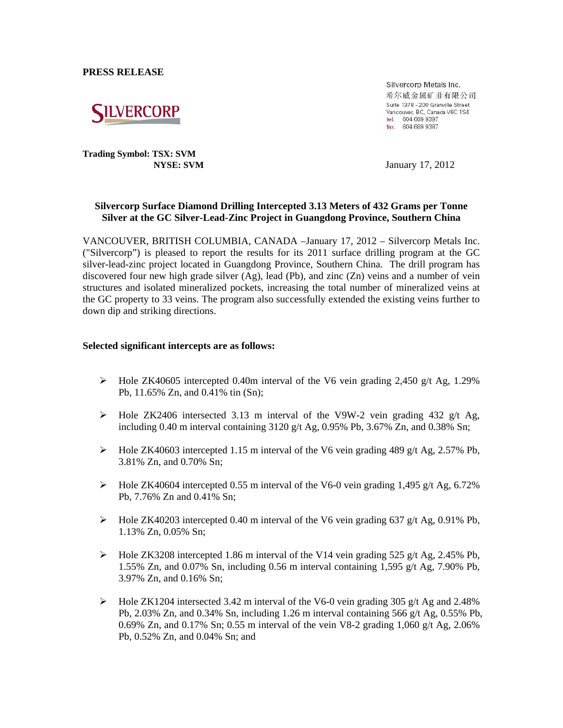**PRESS RELEASE** 



**Trading Symbol: TSX: SVM**

Silvercorp Metals Inc. 希尔威金属矿业有限公司 Suite 1378 - 200 Granville Street Vancouver, BC, Canada V6C 1S4 tel. 604 669 9397 fax. 604 669 9387

**NYSE: SVM** January 17, 2012

### **Silvercorp Surface Diamond Drilling Intercepted 3.13 Meters of 432 Grams per Tonne Silver at the GC Silver-Lead-Zinc Project in Guangdong Province, Southern China**

VANCOUVER, BRITISH COLUMBIA, CANADA –January 17, 2012 – Silvercorp Metals Inc. ("Silvercorp") is pleased to report the results for its 2011 surface drilling program at the GC silver-lead-zinc project located in Guangdong Province, Southern China. The drill program has discovered four new high grade silver  $(Ag)$ , lead  $(Pb)$ , and zinc  $(Zn)$  veins and a number of vein structures and isolated mineralized pockets, increasing the total number of mineralized veins at the GC property to 33 veins. The program also successfully extended the existing veins further to down dip and striking directions.

#### **Selected significant intercepts are as follows:**

- $\triangleright$  Hole ZK40605 intercepted 0.40m interval of the V6 vein grading 2,450 g/t Ag, 1.29% Pb, 11.65% Zn, and 0.41% tin (Sn);
- $\triangleright$  Hole ZK2406 intersected 3.13 m interval of the V9W-2 vein grading 432 g/t Ag, including 0.40 m interval containing  $3120$  g/t Ag,  $0.95\%$  Pb,  $3.67\%$  Zn, and  $0.38\%$  Sn;
- $\triangleright$  Hole ZK40603 intercepted 1.15 m interval of the V6 vein grading 489 g/t Ag, 2.57% Pb, 3.81% Zn, and 0.70% Sn;
- $\blacktriangleright$  Hole ZK40604 intercepted 0.55 m interval of the V6-0 vein grading 1,495 g/t Ag, 6.72% Pb, 7.76% Zn and 0.41% Sn;
- $\blacktriangleright$  Hole ZK40203 intercepted 0.40 m interval of the V6 vein grading 637 g/t Ag, 0.91% Pb, 1.13% Zn, 0.05% Sn;
- $\blacktriangleright$  Hole ZK3208 intercepted 1.86 m interval of the V14 vein grading 525 g/t Ag, 2.45% Pb, 1.55% Zn, and 0.07% Sn, including 0.56 m interval containing 1,595 g/t Ag, 7.90% Pb, 3.97% Zn, and 0.16% Sn;
- $\blacktriangleright$  Hole ZK1204 intersected 3.42 m interval of the V6-0 vein grading 305 g/t Ag and 2.48% Pb, 2.03% Zn, and 0.34% Sn, including 1.26 m interval containing 566 g/t Ag, 0.55% Pb, 0.69% Zn, and 0.17% Sn; 0.55 m interval of the vein V8-2 grading 1,060 g/t Ag, 2.06% Pb, 0.52% Zn, and 0.04% Sn; and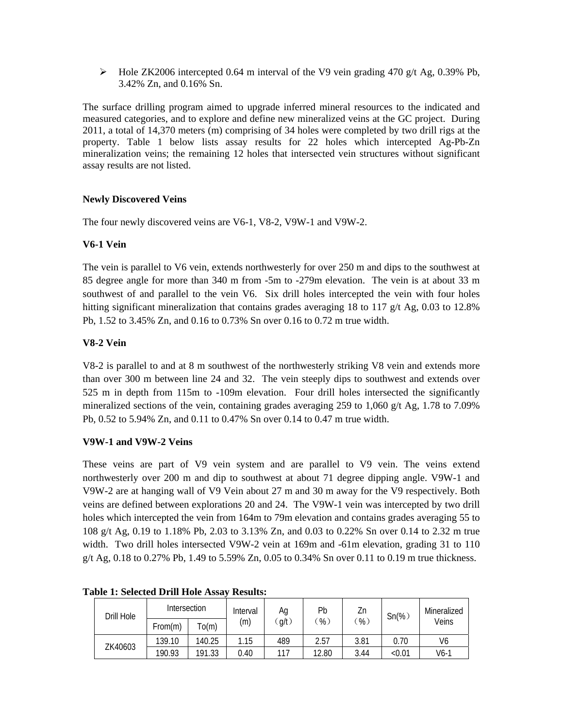$\blacktriangleright$  Hole ZK2006 intercepted 0.64 m interval of the V9 vein grading 470 g/t Ag, 0.39% Pb, 3.42% Zn, and 0.16% Sn.

The surface drilling program aimed to upgrade inferred mineral resources to the indicated and measured categories, and to explore and define new mineralized veins at the GC project. During 2011, a total of 14,370 meters (m) comprising of 34 holes were completed by two drill rigs at the property. Table 1 below lists assay results for 22 holes which intercepted Ag-Pb-Zn mineralization veins; the remaining 12 holes that intersected vein structures without significant assay results are not listed.

## **Newly Discovered Veins**

The four newly discovered veins are V6-1, V8-2, V9W-1 and V9W-2.

## **V6-1 Vein**

The vein is parallel to V6 vein, extends northwesterly for over 250 m and dips to the southwest at 85 degree angle for more than 340 m from -5m to -279m elevation. The vein is at about 33 m southwest of and parallel to the vein V6. Six drill holes intercepted the vein with four holes hitting significant mineralization that contains grades averaging 18 to 117  $g/t$  Ag, 0.03 to 12.8% Pb, 1.52 to 3.45% Zn, and 0.16 to 0.73% Sn over 0.16 to 0.72 m true width.

# **V8-2 Vein**

V8-2 is parallel to and at 8 m southwest of the northwesterly striking V8 vein and extends more than over 300 m between line 24 and 32. The vein steeply dips to southwest and extends over 525 m in depth from 115m to -109m elevation. Four drill holes intersected the significantly mineralized sections of the vein, containing grades averaging 259 to 1,060 g/t Ag, 1.78 to 7.09% Pb, 0.52 to 5.94% Zn, and 0.11 to 0.47% Sn over 0.14 to 0.47 m true width.

# **V9W-1 and V9W-2 Veins**

These veins are part of V9 vein system and are parallel to V9 vein. The veins extend northwesterly over 200 m and dip to southwest at about 71 degree dipping angle. V9W-1 and V9W-2 are at hanging wall of V9 Vein about 27 m and 30 m away for the V9 respectively. Both veins are defined between explorations 20 and 24. The V9W-1 vein was intercepted by two drill holes which intercepted the vein from 164m to 79m elevation and contains grades averaging 55 to 108 g/t Ag, 0.19 to 1.18% Pb, 2.03 to 3.13% Zn, and 0.03 to 0.22% Sn over 0.14 to 2.32 m true width. Two drill holes intersected V9W-2 vein at 169m and -61m elevation, grading 31 to 110 g/t Ag, 0.18 to 0.27% Pb, 1.49 to 5.59% Zn, 0.05 to 0.34% Sn over 0.11 to 0.19 m true thickness.

| Drill Hole | <b>Intersection</b> |                | Interval | Ag  | Pb              | Zn              | $Sn(\%)$ | Mineralized |
|------------|---------------------|----------------|----------|-----|-----------------|-----------------|----------|-------------|
|            | From(m)             | $\tau_{0}$ (m) | (m)      | q/t | $\mathcal{C}_6$ | $\mathcal{C}_6$ |          | Veins       |
| ZK40603    | 139.10              | 140.25         | 1.15     | 489 | 2.57            | 3.81            | 0.70     | V6          |
|            | 190.93              | 191.33         | 0.40     | 117 | 12.80           | 3.44            | <0.01    | $V6-1$      |

### **Table 1: Selected Drill Hole Assay Results:**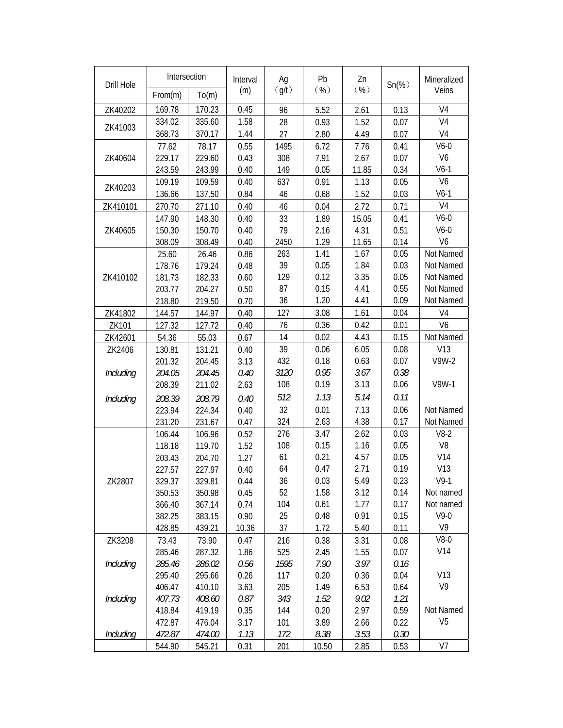| Drill Hole | Intersection     |                  | Interval     | Ag          | Pb           | Zn           | $Sn(\%)$     | Mineralized    |
|------------|------------------|------------------|--------------|-------------|--------------|--------------|--------------|----------------|
|            | From(m)          | To(m)            | (m)          | (g/t)       | ( %)         | ( %)         |              | Veins          |
| ZK40202    | 169.78           | 170.23           | 0.45         | 96          | 5.52         | 2.61         | 0.13         | V <sub>4</sub> |
| ZK41003    | 334.02           | 335.60           | 1.58         | 28          | 0.93         | 1.52         | 0.07         | V <sub>4</sub> |
|            | 368.73           | 370.17           | 1.44         | 27          | 2.80         | 4.49         | 0.07         | V4             |
|            | 77.62            | 78.17            | 0.55         | 1495        | 6.72         | 7.76         | 0.41         | $V6-0$         |
| ZK40604    | 229.17           | 229.60           | 0.43         | 308         | 7.91         | 2.67         | 0.07         | V <sub>6</sub> |
|            | 243.59           | 243.99           | 0.40         | 149         | 0.05         | 11.85        | 0.34         | $V6-1$         |
| ZK40203    | 109.19           | 109.59           | 0.40         | 637         | 0.91         | 1.13         | 0.05         | V <sub>6</sub> |
|            | 136.66           | 137.50           | 0.84         | 46          | 0.68         | 1.52         | 0.03         | $V6-1$         |
| ZK410101   | 270.70           | 271.10           | 0.40         | 46          | 0.04         | 2.72         | 0.71         | V <sub>4</sub> |
|            | 147.90           | 148.30           | 0.40         | 33          | 1.89         | 15.05        | 0.41         | $V6-0$         |
| ZK40605    | 150.30           | 150.70           | 0.40         | 79          | 2.16         | 4.31         | 0.51         | $V6-0$         |
|            | 308.09           | 308.49           | 0.40         | 2450        | 1.29         | 11.65        | 0.14         | V <sub>6</sub> |
|            | 25.60            | 26.46            | 0.86         | 263         | 1.41         | 1.67         | 0.05         | Not Named      |
|            | 178.76           | 179.24           | 0.48         | 39          | 0.05         | 1.84         | 0.03         | Not Named      |
| ZK410102   | 181.73           | 182.33           | 0.60         | 129         | 0.12         | 3.35         | 0.05         | Not Named      |
|            | 203.77           | 204.27           | 0.50         | 87          | 0.15         | 4.41         | 0.55         | Not Named      |
|            | 218.80           | 219.50           | 0.70         | 36          | 1.20         | 4.41         | 0.09         | Not Named      |
| ZK41802    | 144.57           | 144.97           | 0.40         | 127         | 3.08         | 1.61         | 0.04         | V <sub>4</sub> |
| ZK101      | 127.32           | 127.72           | 0.40         | 76          | 0.36         | 0.42         | 0.01         | V <sub>6</sub> |
| ZK42601    | 54.36            | 55.03            | 0.67         | 14          | 0.02         | 4.43         | 0.15         | Not Named      |
| ZK2406     | 130.81           | 131.21           | 0.40         | 39          | 0.06         | 6.05         | 0.08         | V13            |
|            | 201.32           | 204.45           | 3.13         | 432         | 0.18         | 0.63         | 0.07         | V9W-2          |
| Including  | 204.05           | 204.45           | 0.40         | 3120        | 0.95         | 3.67         | 0.38         |                |
|            | 208.39           | 211.02           | 2.63         | 108         | 0.19         | 3.13         | 0.06         | V9W-1          |
| Including  | 208.39           | 208.79           | 0.40         | 512         | 1.13         | 5.14         | 0.11         |                |
|            | 223.94           | 224.34           | 0.40         | 32          | 0.01         | 7.13         | 0.06         | Not Named      |
|            | 231.20           | 231.67           | 0.47         | 324         | 2.63         | 4.38         | 0.17         | Not Named      |
|            | 106.44           | 106.96           | 0.52         | 276         | 3.47         | 2.62         | 0.03         | $V8-2$         |
|            | 118.18           | 119.70           | 1.52         | 108         | 0.15         | 1.16         | 0.05         | V <sub>8</sub> |
|            | 203.43           | 204.70           | 1.27         | 61          | 0.21         | 4.57         | 0.05         | V14            |
| ZK2807     | 227.57           | 227.97           | 0.40         | 64          | 0.47         | 2.71         | 0.19         | V13            |
|            | 329.37           | 329.81           | 0.44         | 36          | 0.03         | 5.49         | 0.23         | $V9-1$         |
|            | 350.53           | 350.98           | 0.45         | 52          | 1.58         | 3.12         | 0.14         | Not named      |
|            | 366.40           | 367.14           | 0.74         | 104         | 0.61         | 1.77         | 0.17         | Not named      |
|            | 382.25           | 383.15           | 0.90         | 25          | 0.48         | 0.91         | 0.15         | $V9-0$         |
|            | 428.85           | 439.21           | 10.36        | 37          | 1.72         | 5.40         | 0.11         | V <sub>9</sub> |
| ZK3208     | 73.43            | 73.90            | 0.47         | 216         | 0.38         | 3.31         | 0.08         | $V8-0$         |
|            | 285.46           | 287.32           | 1.86         | 525         | 2.45         | 1.55         | 0.07         | V14            |
| Including  | 285.46<br>295.40 | 286.02<br>295.66 | 0.56<br>0.26 | 1595<br>117 | 7.90<br>0.20 | 3.97<br>0.36 | 0.16<br>0.04 | V13            |
| Including  | 406.47           | 410.10           |              | 205         | 1.49         | 6.53         | 0.64         | V <sub>9</sub> |
|            | 407.73           | 408.60           | 3.63<br>0.87 | 343         | 1.52         | 9.02         | 1.21         |                |
|            | 418.84           | 419.19           | 0.35         | 144         | 0.20         | 2.97         | 0.59         | Not Named      |
|            | 472.87           | 476.04           | 3.17         | 101         | 3.89         | 2.66         | 0.22         | V <sub>5</sub> |
| Including  | 472.87           | 474.00           | 1.13         | 172         | 8.38         | 3.53         | 0.30         |                |
|            | 544.90           | 545.21           | 0.31         | 201         | 10.50        | 2.85         | 0.53         | V7             |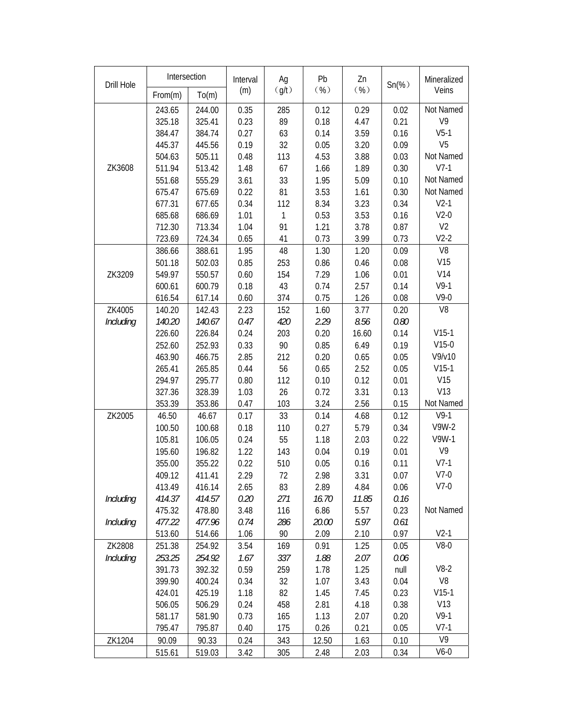| Drill Hole | Intersection |        | Interval | Ag           | Pb    | Zn    | $Sn(\%)$ | Mineralized    |
|------------|--------------|--------|----------|--------------|-------|-------|----------|----------------|
|            | From(m)      | To(m)  | (m)      | (g/t)        | ( %)  | ( %)  |          | Veins          |
|            | 243.65       | 244.00 | 0.35     | 285          | 0.12  | 0.29  | 0.02     | Not Named      |
|            | 325.18       | 325.41 | 0.23     | 89           | 0.18  | 4.47  | 0.21     | V9             |
|            | 384.47       | 384.74 | 0.27     | 63           | 0.14  | 3.59  | 0.16     | $V5-1$         |
|            | 445.37       | 445.56 | 0.19     | 32           | 0.05  | 3.20  | 0.09     | V <sub>5</sub> |
|            | 504.63       | 505.11 | 0.48     | 113          | 4.53  | 3.88  | 0.03     | Not Named      |
| ZK3608     | 511.94       | 513.42 | 1.48     | 67           | 1.66  | 1.89  | 0.30     | $V7-1$         |
|            | 551.68       | 555.29 | 3.61     | 33           | 1.95  | 5.09  | 0.10     | Not Named      |
|            | 675.47       | 675.69 | 0.22     | 81           | 3.53  | 1.61  | 0.30     | Not Named      |
|            | 677.31       | 677.65 | 0.34     | 112          | 8.34  | 3.23  | 0.34     | $V2-1$         |
|            | 685.68       | 686.69 | 1.01     | $\mathbf{1}$ | 0.53  | 3.53  | 0.16     | $V2-0$         |
|            | 712.30       | 713.34 | 1.04     | 91           | 1.21  | 3.78  | 0.87     | V <sub>2</sub> |
|            | 723.69       | 724.34 | 0.65     | 41           | 0.73  | 3.99  | 0.73     | $V2-2$         |
|            | 386.66       | 388.61 | 1.95     | 48           | 1.30  | 1.20  | 0.09     | V <sub>8</sub> |
|            | 501.18       | 502.03 | 0.85     | 253          | 0.86  | 0.46  | 0.08     | V15            |
| ZK3209     | 549.97       | 550.57 | 0.60     | 154          | 7.29  | 1.06  | 0.01     | V14            |
|            | 600.61       | 600.79 | 0.18     | 43           | 0.74  | 2.57  | 0.14     | $V9-1$         |
|            | 616.54       | 617.14 | 0.60     | 374          | 0.75  | 1.26  | 0.08     | $V9-0$         |
| ZK4005     | 140.20       | 142.43 | 2.23     | 152          | 1.60  | 3.77  | 0.20     | V <sub>8</sub> |
| Including  | 140.20       | 140.67 | 0.47     | 420          | 2.29  | 8.56  | 0.80     |                |
|            | 226.60       | 226.84 | 0.24     | 203          | 0.20  | 16.60 | 0.14     | $V15-1$        |
|            | 252.60       | 252.93 | 0.33     | 90           | 0.85  | 6.49  | 0.19     | $V15-0$        |
|            | 463.90       | 466.75 | 2.85     | 212          | 0.20  | 0.65  | 0.05     | V9/v10         |
|            | 265.41       | 265.85 | 0.44     | 56           | 0.65  | 2.52  | 0.05     | $V15-1$        |
|            | 294.97       | 295.77 | 0.80     | 112          | 0.10  | 0.12  | 0.01     | V15            |
|            | 327.36       | 328.39 | 1.03     | 26           | 0.72  | 3.31  | 0.13     | V13            |
|            | 353.39       | 353.86 | 0.47     | 103          | 3.24  | 2.56  | 0.15     | Not Named      |
| ZK2005     | 46.50        | 46.67  | 0.17     | 33           | 0.14  | 4.68  | 0.12     | $V9-1$         |
|            | 100.50       | 100.68 | 0.18     | 110          | 0.27  | 5.79  | 0.34     | V9W-2          |
|            | 105.81       | 106.05 | 0.24     | 55           | 1.18  | 2.03  | 0.22     | V9W-1          |
|            | 195.60       | 196.82 | 1.22     | 143          | 0.04  | 0.19  | 0.01     | V <sub>9</sub> |
|            | 355.00       | 355.22 | 0.22     | 510          | 0.05  | 0.16  | 0.11     | $V7-1$         |
|            | 409.12       | 411.41 | 2.29     | 72           | 2.98  | 3.31  | 0.07     | $V7-0$         |
|            | 413.49       | 416.14 | 2.65     | 83           | 2.89  | 4.84  | 0.06     | $V7-0$         |
| Including  | 414.37       | 414.57 | 0.20     | 271          | 16.70 | 11.85 | 0.16     |                |
|            | 475.32       | 478.80 | 3.48     | 116          | 6.86  | 5.57  | 0.23     | Not Named      |
| Including  | 477.22       | 477.96 | 0.74     | 286          | 20.00 | 5.97  | 0.61     |                |
|            | 513.60       | 514.66 | 1.06     | 90           | 2.09  | 2.10  | 0.97     | $V2-1$         |
| ZK2808     | 251.38       | 254.92 | 3.54     | 169          | 0.91  | 1.25  | 0.05     | $V8-0$         |
| Including  | 253.25       | 254.92 | 1.67     | 337          | 1.88  | 2.07  | 0.06     |                |
|            | 391.73       | 392.32 | 0.59     | 259          | 1.78  | 1.25  | null     | $V8-2$         |
|            | 399.90       | 400.24 | 0.34     | 32           | 1.07  | 3.43  | 0.04     | V8             |
|            | 424.01       | 425.19 | 1.18     | 82           | 1.45  | 7.45  | 0.23     | $V15-1$        |
|            | 506.05       | 506.29 | 0.24     | 458          | 2.81  | 4.18  | 0.38     | V13            |
|            | 581.17       | 581.90 | 0.73     | 165          | 1.13  | 2.07  | 0.20     | $V9-1$         |
|            | 795.47       | 795.87 | 0.40     | 175          | 0.26  | 0.21  | 0.05     | $V7-1$         |
| ZK1204     | 90.09        | 90.33  | 0.24     | 343          | 12.50 | 1.63  | 0.10     | V <sub>9</sub> |
|            | 515.61       | 519.03 | 3.42     | 305          | 2.48  | 2.03  | 0.34     | $V6-0$         |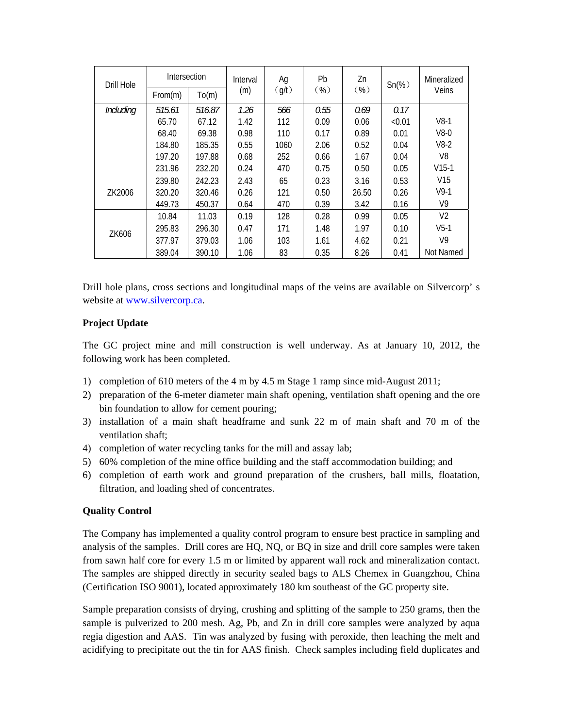| Drill Hole | <b>Intersection</b> |        | Interval | Ag    | Pb      | Zn    | $Sn(\%)$ | Mineralized     |
|------------|---------------------|--------|----------|-------|---------|-------|----------|-----------------|
|            | From(m)             | To(m)  | (m)      | (q/t) | $(\% )$ | ( %)  |          | Veins           |
| Including  | 515.61              | 516.87 | 1.26     | 566   | 0.55    | 0.69  | 0.17     |                 |
|            | 65.70               | 67.12  | 1.42     | 112   | 0.09    | 0.06  | < 0.01   | $V8-1$          |
|            | 68.40               | 69.38  | 0.98     | 110   | 0.17    | 0.89  | 0.01     | $V8-0$          |
|            | 184.80              | 185.35 | 0.55     | 1060  | 2.06    | 0.52  | 0.04     | $V8-2$          |
|            | 197.20              | 197.88 | 0.68     | 252   | 0.66    | 1.67  | 0.04     | V8              |
|            | 231.96              | 232.20 | 0.24     | 470   | 0.75    | 0.50  | 0.05     | $V15-1$         |
|            | 239.80              | 242.23 | 2.43     | 65    | 0.23    | 3.16  | 0.53     | V <sub>15</sub> |
| ZK2006     | 320.20              | 320.46 | 0.26     | 121   | 0.50    | 26.50 | 0.26     | $V9-1$          |
|            | 449.73              | 450.37 | 0.64     | 470   | 0.39    | 3.42  | 0.16     | V9              |
|            | 10.84               | 11.03  | 0.19     | 128   | 0.28    | 0.99  | 0.05     | V <sub>2</sub>  |
| ZK606      | 295.83              | 296.30 | 0.47     | 171   | 1.48    | 1.97  | 0.10     | $V5-1$          |
|            | 377.97              | 379.03 | 1.06     | 103   | 1.61    | 4.62  | 0.21     | V9              |
|            | 389.04              | 390.10 | 1.06     | 83    | 0.35    | 8.26  | 0.41     | Not Named       |

Drill hole plans, cross sections and longitudinal maps of the veins are available on Silvercorp' s website at www.silvercorp.ca.

## **Project Update**

The GC project mine and mill construction is well underway. As at January 10, 2012, the following work has been completed.

- 1) completion of 610 meters of the 4 m by 4.5 m Stage 1 ramp since mid-August 2011;
- 2) preparation of the 6-meter diameter main shaft opening, ventilation shaft opening and the ore bin foundation to allow for cement pouring;
- 3) installation of a main shaft headframe and sunk 22 m of main shaft and 70 m of the ventilation shaft;
- 4) completion of water recycling tanks for the mill and assay lab;
- 5) 60% completion of the mine office building and the staff accommodation building; and
- 6) completion of earth work and ground preparation of the crushers, ball mills, floatation, filtration, and loading shed of concentrates.

# **Quality Control**

The Company has implemented a quality control program to ensure best practice in sampling and analysis of the samples. Drill cores are HQ, NQ, or BQ in size and drill core samples were taken from sawn half core for every 1.5 m or limited by apparent wall rock and mineralization contact. The samples are shipped directly in security sealed bags to ALS Chemex in Guangzhou, China (Certification ISO 9001), located approximately 180 km southeast of the GC property site.

Sample preparation consists of drying, crushing and splitting of the sample to 250 grams, then the sample is pulverized to 200 mesh. Ag, Pb, and Zn in drill core samples were analyzed by aqua regia digestion and AAS. Tin was analyzed by fusing with peroxide, then leaching the melt and acidifying to precipitate out the tin for AAS finish. Check samples including field duplicates and